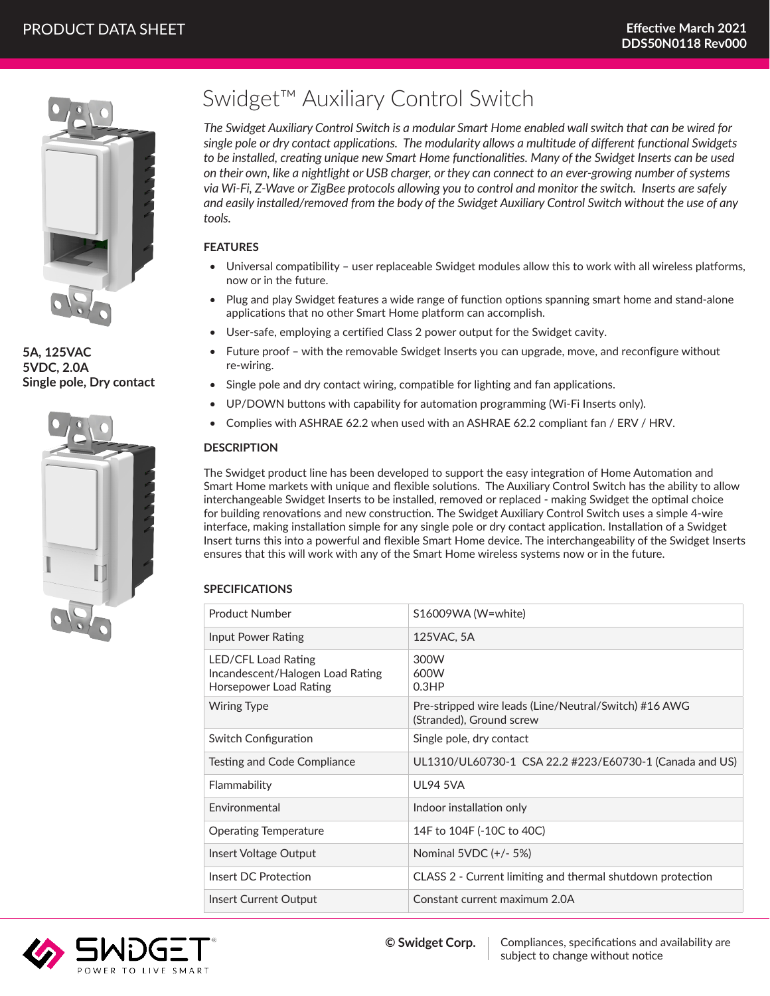

**5A, 125VAC 5VDC, 2.0A Single pole, Dry contact**



# Swidget™ Auxiliary Control Switch

*The Swidget Auxiliary Control Switch is a modular Smart Home enabled wall switch that can be wired for single pole or dry contact applications. The modularity allows a multitude of different functional Swidgets to be installed, creating unique new Smart Home functionalities. Many of the Swidget Inserts can be used on their own, like a nightlight or USB charger, or they can connect to an ever-growing number of systems via Wi-Fi, Z-Wave or ZigBee protocols allowing you to control and monitor the switch. Inserts are safely and easily installed/removed from the body of the Swidget Auxiliary Control Switch without the use of any tools.*

# **FEATURES**

- Universal compatibility user replaceable Swidget modules allow this to work with all wireless platforms, now or in the future.
- Plug and play Swidget features a wide range of function options spanning smart home and stand-alone applications that no other Smart Home platform can accomplish.
- User-safe, employing a certified Class 2 power output for the Swidget cavity.
- Future proof with the removable Swidget Inserts you can upgrade, move, and reconfigure without re-wiring.
- Single pole and dry contact wiring, compatible for lighting and fan applications.
- UP/DOWN buttons with capability for automation programming (Wi-Fi Inserts only).
- Complies with ASHRAE 62.2 when used with an ASHRAE 62.2 compliant fan / ERV / HRV.

## **DESCRIPTION**

The Swidget product line has been developed to support the easy integration of Home Automation and Smart Home markets with unique and flexible solutions. The Auxiliary Control Switch has the ability to allow interchangeable Swidget Inserts to be installed, removed or replaced - making Swidget the optimal choice for building renovations and new construction. The Swidget Auxiliary Control Switch uses a simple 4-wire interface, making installation simple for any single pole or dry contact application. Installation of a Swidget Insert turns this into a powerful and flexible Smart Home device. The interchangeability of the Swidget Inserts ensures that this will work with any of the Smart Home wireless systems now or in the future.

## **SPECIFICATIONS**

| Product Number                                                                    | S16009WA (W=white)                                                                |
|-----------------------------------------------------------------------------------|-----------------------------------------------------------------------------------|
| Input Power Rating                                                                | 125VAC, 5A                                                                        |
| LED/CFL Load Rating<br>Incandescent/Halogen Load Rating<br>Horsepower Load Rating | 300W<br>600W<br>0.3HP                                                             |
| <b>Wiring Type</b>                                                                | Pre-stripped wire leads (Line/Neutral/Switch) #16 AWG<br>(Stranded), Ground screw |
| Switch Configuration                                                              | Single pole, dry contact                                                          |
| Testing and Code Compliance                                                       | UL1310/UL60730-1 CSA 22.2 #223/E60730-1 (Canada and US)                           |
| Flammability                                                                      | <b>UL94 5VA</b>                                                                   |
| <b>Fnvironmental</b>                                                              | Indoor installation only                                                          |
| <b>Operating Temperature</b>                                                      | 14F to 104F (-10C to 40C)                                                         |
| Insert Voltage Output                                                             | Nominal 5VDC (+/- 5%)                                                             |
| Insert DC Protection                                                              | CLASS 2 - Current limiting and thermal shutdown protection                        |
| Insert Current Output                                                             | Constant current maximum 2.0A                                                     |